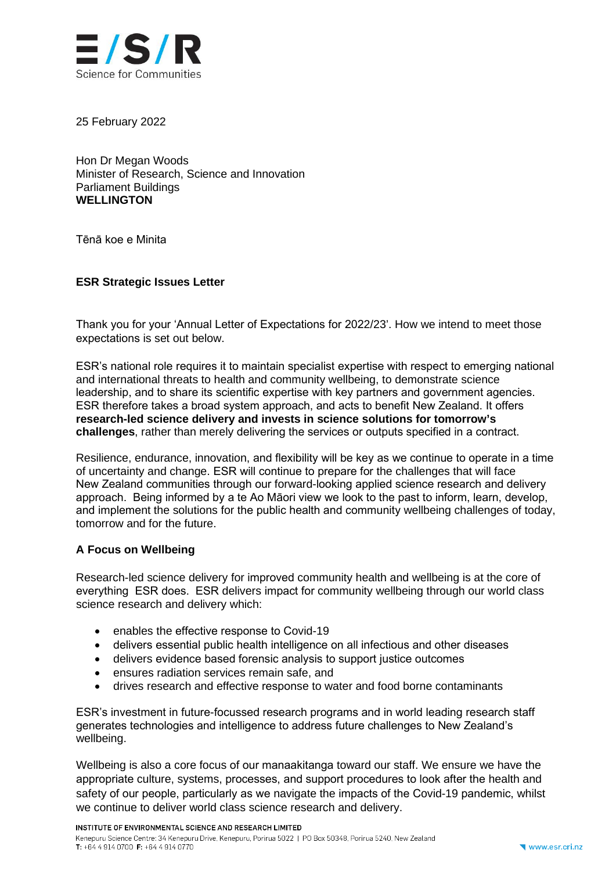

25 February 2022

Hon Dr Megan Woods Minister of Research, Science and Innovation Parliament Buildings **WELLINGTON**

Tēnā koe e Minita

## **ESR Strategic Issues Letter**

Thank you for your 'Annual Letter of Expectations for 2022/23'. How we intend to meet those expectations is set out below.

ESR's national role requires it to maintain specialist expertise with respect to emerging national and international threats to health and community wellbeing, to demonstrate science leadership, and to share its scientific expertise with key partners and government agencies. ESR therefore takes a broad system approach, and acts to benefit New Zealand. It offers **research-led science delivery and invests in science solutions for tomorrow's challenges**, rather than merely delivering the services or outputs specified in a contract.

Resilience, endurance, innovation, and flexibility will be key as we continue to operate in a time of uncertainty and change. ESR will continue to prepare for the challenges that will face New Zealand communities through our forward-looking applied science research and delivery approach. Being informed by a te Ao Māori view we look to the past to inform, learn, develop, and implement the solutions for the public health and community wellbeing challenges of today, tomorrow and for the future.

#### **A Focus on Wellbeing**

Research-led science delivery for improved community health and wellbeing is at the core of everything ESR does. ESR delivers impact for community wellbeing through our world class science research and delivery which:

- enables the effective response to Covid-19
- delivers essential public health intelligence on all infectious and other diseases
- delivers evidence based forensic analysis to support justice outcomes
- ensures radiation services remain safe, and
- drives research and effective response to water and food borne contaminants

ESR's investment in future-focussed research programs and in world leading research staff generates technologies and intelligence to address future challenges to New Zealand's wellbeing.

Wellbeing is also a core focus of our manaakitanga toward our staff. We ensure we have the appropriate culture, systems, processes, and support procedures to look after the health and safety of our people, particularly as we navigate the impacts of the Covid-19 pandemic, whilst we continue to deliver world class science research and delivery.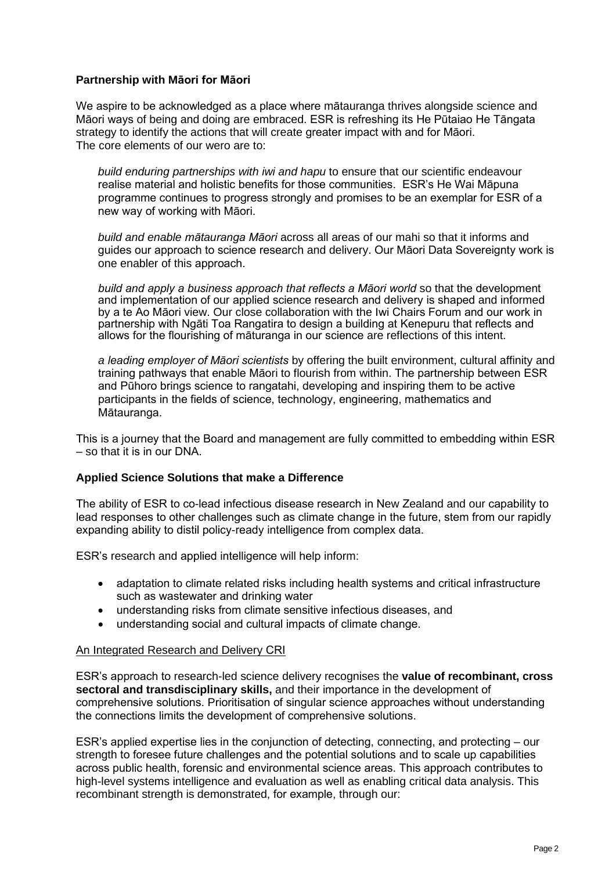# **Partnership with Māori for Māori**

We aspire to be acknowledged as a place where mātauranga thrives alongside science and Māori ways of being and doing are embraced. ESR is refreshing its He Pūtaiao He Tāngata strategy to identify the actions that will create greater impact with and for Māori. The core elements of our wero are to:

*build enduring partnerships with iwi and hapu* to ensure that our scientific endeavour realise material and holistic benefits for those communities. ESR's He Wai Māpuna programme continues to progress strongly and promises to be an exemplar for ESR of a new way of working with Māori.

*build and enable mātauranga Māori* across all areas of our mahi so that it informs and guides our approach to science research and delivery. Our Māori Data Sovereignty work is one enabler of this approach.

*build and apply a business approach that reflects a Māori world* so that the development and implementation of our applied science research and delivery is shaped and informed by a te Ao Māori view. Our close collaboration with the Iwi Chairs Forum and our work in partnership with Ngāti Toa Rangatira to design a building at Kenepuru that reflects and allows for the flourishing of māturanga in our science are reflections of this intent.

*a leading employer of Māori scientists* by offering the built environment, cultural affinity and training pathways that enable Māori to flourish from within. The partnership between ESR and Pūhoro brings science to rangatahi, developing and inspiring them to be active participants in the fields of science, technology, engineering, mathematics and Mātauranga.

This is a journey that the Board and management are fully committed to embedding within ESR – so that it is in our DNA.

## **Applied Science Solutions that make a Difference**

The ability of ESR to co-lead infectious disease research in New Zealand and our capability to lead responses to other challenges such as climate change in the future, stem from our rapidly expanding ability to distil policy-ready intelligence from complex data.

ESR's research and applied intelligence will help inform:

- adaptation to climate related risks including health systems and critical infrastructure such as wastewater and drinking water
- understanding risks from climate sensitive infectious diseases, and
- understanding social and cultural impacts of climate change.

#### An Integrated Research and Delivery CRI

ESR's approach to research-led science delivery recognises the **value of recombinant, cross sectoral and transdisciplinary skills,** and their importance in the development of comprehensive solutions. Prioritisation of singular science approaches without understanding the connections limits the development of comprehensive solutions.

ESR's applied expertise lies in the conjunction of detecting, connecting, and protecting – our strength to foresee future challenges and the potential solutions and to scale up capabilities across public health, forensic and environmental science areas. This approach contributes to high-level systems intelligence and evaluation as well as enabling critical data analysis. This recombinant strength is demonstrated, for example, through our: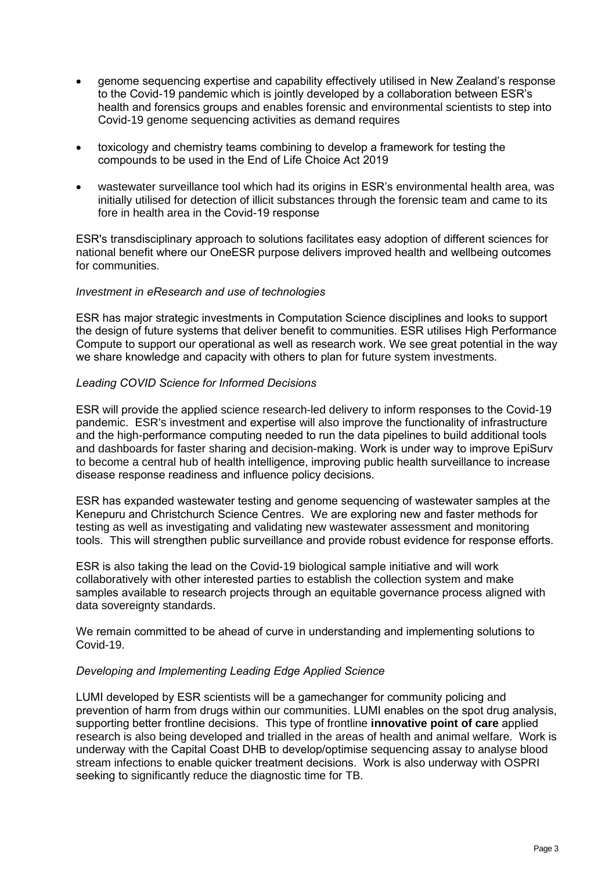- genome sequencing expertise and capability effectively utilised in New Zealand's response to the Covid-19 pandemic which is jointly developed by a collaboration between ESR's health and forensics groups and enables forensic and environmental scientists to step into Covid-19 genome sequencing activities as demand requires
- toxicology and chemistry teams combining to develop a framework for testing the compounds to be used in the End of Life Choice Act 2019
- wastewater surveillance tool which had its origins in ESR's environmental health area, was initially utilised for detection of illicit substances through the forensic team and came to its fore in health area in the Covid-19 response

ESR's transdisciplinary approach to solutions facilitates easy adoption of different sciences for national benefit where our OneESR purpose delivers improved health and wellbeing outcomes for communities.

### *Investment in eResearch and use of technologies*

ESR has major strategic investments in Computation Science disciplines and looks to support the design of future systems that deliver benefit to communities. ESR utilises High Performance Compute to support our operational as well as research work. We see great potential in the way we share knowledge and capacity with others to plan for future system investments.

### *Leading COVID Science for Informed Decisions*

ESR will provide the applied science research-led delivery to inform responses to the Covid-19 pandemic. ESR's investment and expertise will also improve the functionality of infrastructure and the high-performance computing needed to run the data pipelines to build additional tools and dashboards for faster sharing and decision-making. Work is under way to improve EpiSurv to become a central hub of health intelligence, improving public health surveillance to increase disease response readiness and influence policy decisions.

ESR has expanded wastewater testing and genome sequencing of wastewater samples at the Kenepuru and Christchurch Science Centres. We are exploring new and faster methods for testing as well as investigating and validating new wastewater assessment and monitoring tools. This will strengthen public surveillance and provide robust evidence for response efforts.

ESR is also taking the lead on the Covid-19 biological sample initiative and will work collaboratively with other interested parties to establish the collection system and make samples available to research projects through an equitable governance process aligned with data sovereignty standards.

We remain committed to be ahead of curve in understanding and implementing solutions to Covid-19.

#### *Developing and Implementing Leading Edge Applied Science*

LUMI developed by ESR scientists will be a gamechanger for community policing and prevention of harm from drugs within our communities. LUMI enables on the spot drug analysis, supporting better frontline decisions. This type of frontline **innovative point of care** applied research is also being developed and trialled in the areas of health and animal welfare. Work is underway with the Capital Coast DHB to develop/optimise sequencing assay to analyse blood stream infections to enable quicker treatment decisions. Work is also underway with OSPRI seeking to significantly reduce the diagnostic time for TB.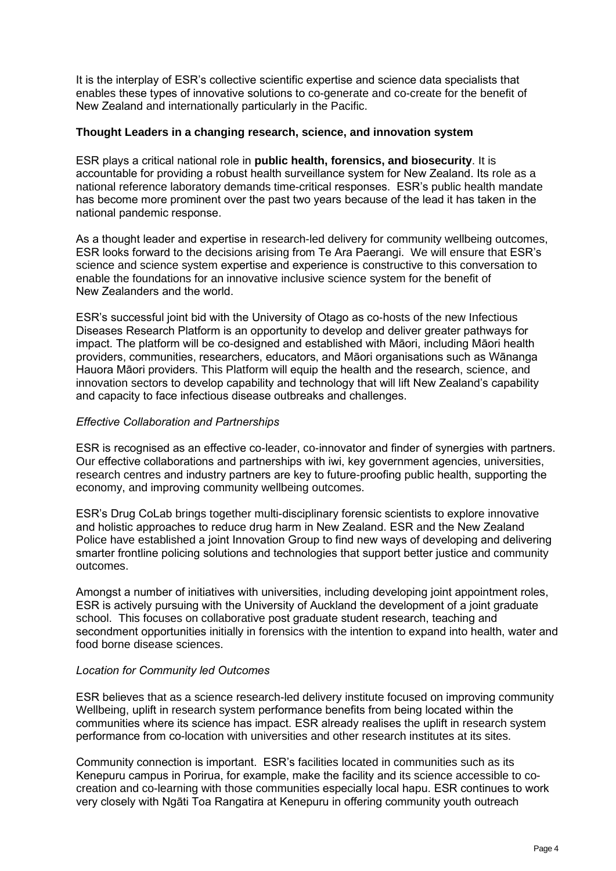It is the interplay of ESR's collective scientific expertise and science data specialists that enables these types of innovative solutions to co-generate and co-create for the benefit of New Zealand and internationally particularly in the Pacific.

### **Thought Leaders in a changing research, science, and innovation system**

ESR plays a critical national role in **public health, forensics, and biosecurity**. It is accountable for providing a robust health surveillance system for New Zealand. Its role as a national reference laboratory demands time-critical responses. ESR's public health mandate has become more prominent over the past two years because of the lead it has taken in the national pandemic response.

As a thought leader and expertise in research-led delivery for community wellbeing outcomes, ESR looks forward to the decisions arising from Te Ara Paerangi. We will ensure that ESR's science and science system expertise and experience is constructive to this conversation to enable the foundations for an innovative inclusive science system for the benefit of New Zealanders and the world.

ESR's successful joint bid with the University of Otago as co-hosts of the new Infectious Diseases Research Platform is an opportunity to develop and deliver greater pathways for impact. The platform will be co-designed and established with Māori, including Māori health providers, communities, researchers, educators, and Māori organisations such as Wānanga Hauora Māori providers. This Platform will equip the health and the research, science, and innovation sectors to develop capability and technology that will lift New Zealand's capability and capacity to face infectious disease outbreaks and challenges.

## *Effective Collaboration and Partnerships*

ESR is recognised as an effective co-leader, co-innovator and finder of synergies with partners. Our effective collaborations and partnerships with iwi, key government agencies, universities, research centres and industry partners are key to future-proofing public health, supporting the economy, and improving community wellbeing outcomes.

ESR's Drug CoLab brings together multi-disciplinary forensic scientists to explore innovative and holistic approaches to reduce drug harm in New Zealand. ESR and the New Zealand Police have established a joint Innovation Group to find new ways of developing and delivering smarter frontline policing solutions and technologies that support better justice and community outcomes.

Amongst a number of initiatives with universities, including developing joint appointment roles, ESR is actively pursuing with the University of Auckland the development of a joint graduate school. This focuses on collaborative post graduate student research, teaching and secondment opportunities initially in forensics with the intention to expand into health, water and food borne disease sciences.

## *Location for Community led Outcomes*

ESR believes that as a science research-led delivery institute focused on improving community Wellbeing, uplift in research system performance benefits from being located within the communities where its science has impact. ESR already realises the uplift in research system performance from co-location with universities and other research institutes at its sites.

Community connection is important. ESR's facilities located in communities such as its Kenepuru campus in Porirua, for example, make the facility and its science accessible to cocreation and co-learning with those communities especially local hapu. ESR continues to work very closely with Ngāti Toa Rangatira at Kenepuru in offering community youth outreach